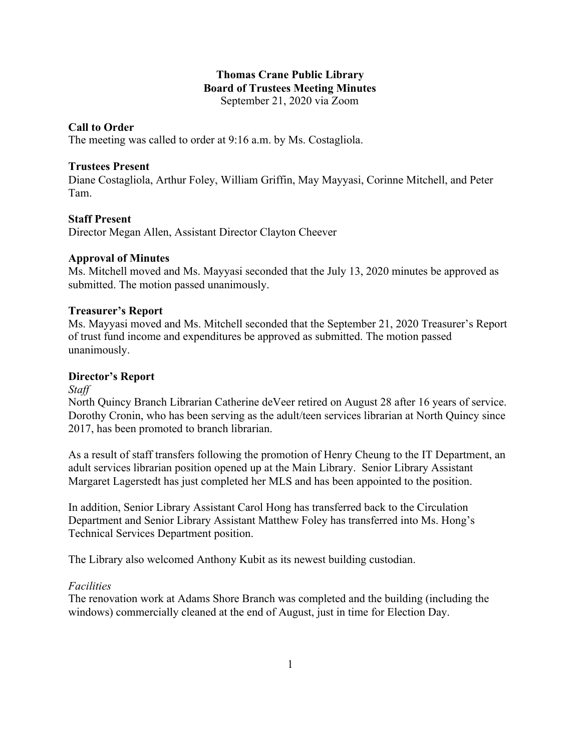# **Thomas Crane Public Library Board of Trustees Meeting Minutes** September 21, 2020 via Zoom

# **Call to Order**

The meeting was called to order at 9:16 a.m. by Ms. Costagliola.

# **Trustees Present**

Diane Costagliola, Arthur Foley, William Griffin, May Mayyasi, Corinne Mitchell, and Peter Tam.

# **Staff Present**

Director Megan Allen, Assistant Director Clayton Cheever

## **Approval of Minutes**

Ms. Mitchell moved and Ms. Mayyasi seconded that the July 13, 2020 minutes be approved as submitted. The motion passed unanimously.

## **Treasurer's Report**

Ms. Mayyasi moved and Ms. Mitchell seconded that the September 21, 2020 Treasurer's Report of trust fund income and expenditures be approved as submitted. The motion passed unanimously.

### **Director's Report**

*Staff*

North Quincy Branch Librarian Catherine deVeer retired on August 28 after 16 years of service. Dorothy Cronin, who has been serving as the adult/teen services librarian at North Quincy since 2017, has been promoted to branch librarian.

As a result of staff transfers following the promotion of Henry Cheung to the IT Department, an adult services librarian position opened up at the Main Library. Senior Library Assistant Margaret Lagerstedt has just completed her MLS and has been appointed to the position.

In addition, Senior Library Assistant Carol Hong has transferred back to the Circulation Department and Senior Library Assistant Matthew Foley has transferred into Ms. Hong's Technical Services Department position.

The Library also welcomed Anthony Kubit as its newest building custodian.

### *Facilities*

The renovation work at Adams Shore Branch was completed and the building (including the windows) commercially cleaned at the end of August, just in time for Election Day.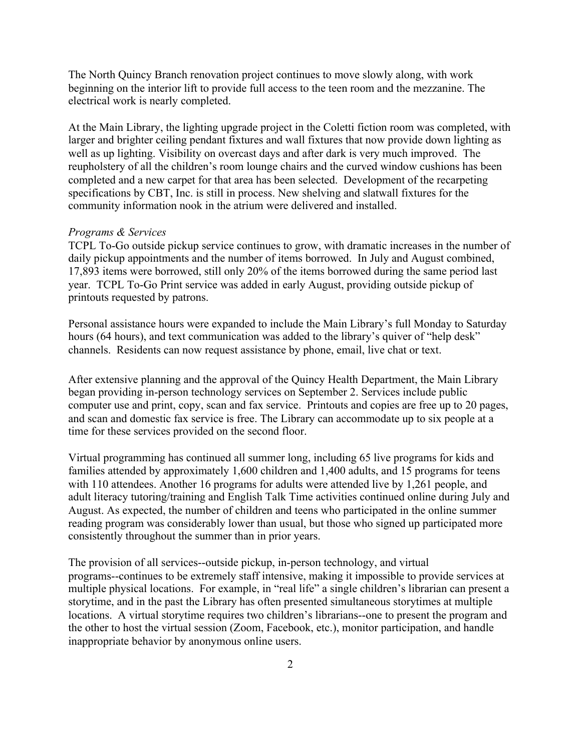The North Quincy Branch renovation project continues to move slowly along, with work beginning on the interior lift to provide full access to the teen room and the mezzanine. The electrical work is nearly completed.

At the Main Library, the lighting upgrade project in the Coletti fiction room was completed, with larger and brighter ceiling pendant fixtures and wall fixtures that now provide down lighting as well as up lighting. Visibility on overcast days and after dark is very much improved. The reupholstery of all the children's room lounge chairs and the curved window cushions has been completed and a new carpet for that area has been selected. Development of the recarpeting specifications by CBT, Inc. is still in process. New shelving and slatwall fixtures for the community information nook in the atrium were delivered and installed.

#### *Programs & Services*

TCPL To-Go outside pickup service continues to grow, with dramatic increases in the number of daily pickup appointments and the number of items borrowed. In July and August combined, 17,893 items were borrowed, still only 20% of the items borrowed during the same period last year. TCPL To-Go Print service was added in early August, providing outside pickup of printouts requested by patrons.

Personal assistance hours were expanded to include the Main Library's full Monday to Saturday hours (64 hours), and text communication was added to the library's quiver of "help desk" channels. Residents can now request assistance by phone, email, live chat or text.

After extensive planning and the approval of the Quincy Health Department, the Main Library began providing in-person technology services on September 2. Services include public computer use and print, copy, scan and fax service. Printouts and copies are free up to 20 pages, and scan and domestic fax service is free. The Library can accommodate up to six people at a time for these services provided on the second floor.

Virtual programming has continued all summer long, including 65 live programs for kids and families attended by approximately 1,600 children and 1,400 adults, and 15 programs for teens with 110 attendees. Another 16 programs for adults were attended live by 1,261 people, and adult literacy tutoring/training and English Talk Time activities continued online during July and August. As expected, the number of children and teens who participated in the online summer reading program was considerably lower than usual, but those who signed up participated more consistently throughout the summer than in prior years.

The provision of all services--outside pickup, in-person technology, and virtual programs--continues to be extremely staff intensive, making it impossible to provide services at multiple physical locations. For example, in "real life" a single children's librarian can present a storytime, and in the past the Library has often presented simultaneous storytimes at multiple locations. A virtual storytime requires two children's librarians--one to present the program and the other to host the virtual session (Zoom, Facebook, etc.), monitor participation, and handle inappropriate behavior by anonymous online users.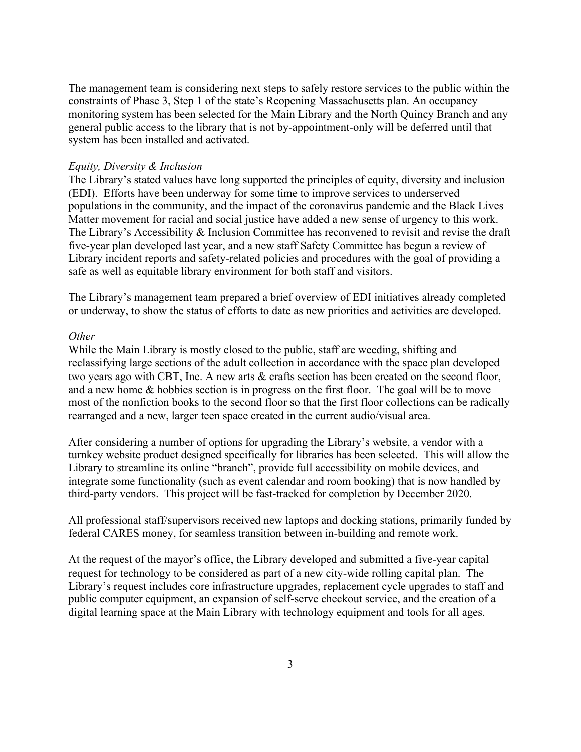The management team is considering next steps to safely restore services to the public within the constraints of Phase 3, Step 1 of the state's Reopening Massachusetts plan. An occupancy monitoring system has been selected for the Main Library and the North Quincy Branch and any general public access to the library that is not by-appointment-only will be deferred until that system has been installed and activated.

#### *Equity, Diversity & Inclusion*

The Library's stated values have long supported the principles of equity, diversity and inclusion (EDI). Efforts have been underway for some time to improve services to underserved populations in the community, and the impact of the coronavirus pandemic and the Black Lives Matter movement for racial and social justice have added a new sense of urgency to this work. The Library's Accessibility & Inclusion Committee has reconvened to revisit and revise the draft five-year plan developed last year, and a new staff Safety Committee has begun a review of Library incident reports and safety-related policies and procedures with the goal of providing a safe as well as equitable library environment for both staff and visitors.

The Library's management team prepared a brief overview of EDI initiatives already completed or underway, to show the status of efforts to date as new priorities and activities are developed.

#### *Other*

While the Main Library is mostly closed to the public, staff are weeding, shifting and reclassifying large sections of the adult collection in accordance with the space plan developed two years ago with CBT, Inc. A new arts & crafts section has been created on the second floor, and a new home & hobbies section is in progress on the first floor. The goal will be to move most of the nonfiction books to the second floor so that the first floor collections can be radically rearranged and a new, larger teen space created in the current audio/visual area.

After considering a number of options for upgrading the Library's website, a vendor with a turnkey website product designed specifically for libraries has been selected. This will allow the Library to streamline its online "branch", provide full accessibility on mobile devices, and integrate some functionality (such as event calendar and room booking) that is now handled by third-party vendors. This project will be fast-tracked for completion by December 2020.

All professional staff/supervisors received new laptops and docking stations, primarily funded by federal CARES money, for seamless transition between in-building and remote work.

At the request of the mayor's office, the Library developed and submitted a five-year capital request for technology to be considered as part of a new city-wide rolling capital plan. The Library's request includes core infrastructure upgrades, replacement cycle upgrades to staff and public computer equipment, an expansion of self-serve checkout service, and the creation of a digital learning space at the Main Library with technology equipment and tools for all ages.